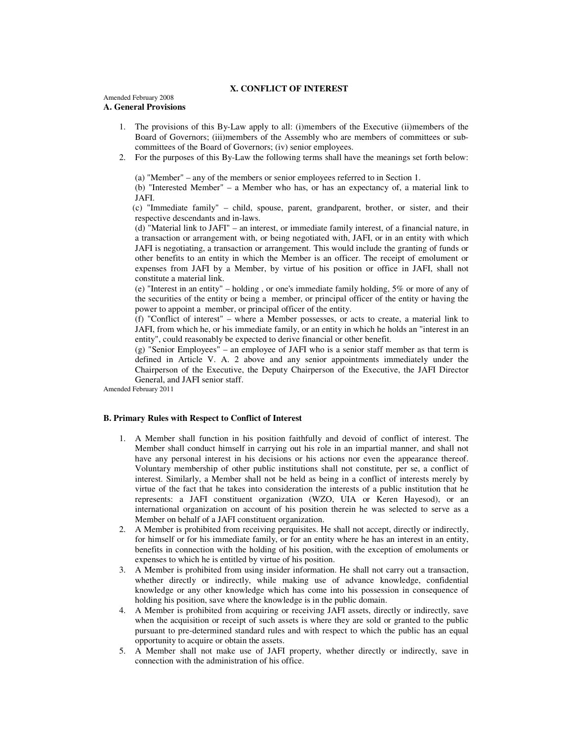### **X. CONFLICT OF INTEREST**

# Amended February 2008

## **A. General Provisions**

- 1. The provisions of this By-Law apply to all: (i)members of the Executive (ii)members of the Board of Governors; (iii)members of the Assembly who are members of committees or subcommittees of the Board of Governors; (iv) senior employees.
- 2. For the purposes of this By-Law the following terms shall have the meanings set forth below:

(a) "Member" – any of the members or senior employees referred to in Section 1.

 (b) "Interested Member" – a Member who has, or has an expectancy of, a material link to JAFI.

 (c) "Immediate family" – child, spouse, parent, grandparent, brother, or sister, and their respective descendants and in-laws.

 (d) "Material link to JAFI" – an interest, or immediate family interest, of a financial nature, in a transaction or arrangement with, or being negotiated with, JAFI, or in an entity with which JAFI is negotiating, a transaction or arrangement. This would include the granting of funds or other benefits to an entity in which the Member is an officer. The receipt of emolument or expenses from JAFI by a Member, by virtue of his position or office in JAFI, shall not constitute a material link.

 (e) "Interest in an entity" – holding , or one's immediate family holding, 5% or more of any of the securities of the entity or being a member, or principal officer of the entity or having the power to appoint a member, or principal officer of the entity.

 (f) "Conflict of interest" – where a Member possesses, or acts to create, a material link to JAFI, from which he, or his immediate family, or an entity in which he holds an "interest in an entity", could reasonably be expected to derive financial or other benefit.

(g) "Senior Employees" – an employee of JAFI who is a senior staff member as that term is defined in Article V. A. 2 above and any senior appointments immediately under the Chairperson of the Executive, the Deputy Chairperson of the Executive, the JAFI Director General, and JAFI senior staff.

Amended February 2011

## **B. Primary Rules with Respect to Conflict of Interest**

- 1. A Member shall function in his position faithfully and devoid of conflict of interest. The Member shall conduct himself in carrying out his role in an impartial manner, and shall not have any personal interest in his decisions or his actions nor even the appearance thereof. Voluntary membership of other public institutions shall not constitute, per se, a conflict of interest. Similarly, a Member shall not be held as being in a conflict of interests merely by virtue of the fact that he takes into consideration the interests of a public institution that he represents: a JAFI constituent organization (WZO, UIA or Keren Hayesod), or an international organization on account of his position therein he was selected to serve as a Member on behalf of a JAFI constituent organization.
- 2. A Member is prohibited from receiving perquisites. He shall not accept, directly or indirectly, for himself or for his immediate family, or for an entity where he has an interest in an entity, benefits in connection with the holding of his position, with the exception of emoluments or expenses to which he is entitled by virtue of his position.
- 3. A Member is prohibited from using insider information. He shall not carry out a transaction, whether directly or indirectly, while making use of advance knowledge, confidential knowledge or any other knowledge which has come into his possession in consequence of holding his position, save where the knowledge is in the public domain.
- 4. A Member is prohibited from acquiring or receiving JAFI assets, directly or indirectly, save when the acquisition or receipt of such assets is where they are sold or granted to the public pursuant to pre-determined standard rules and with respect to which the public has an equal opportunity to acquire or obtain the assets.
- 5. A Member shall not make use of JAFI property, whether directly or indirectly, save in connection with the administration of his office.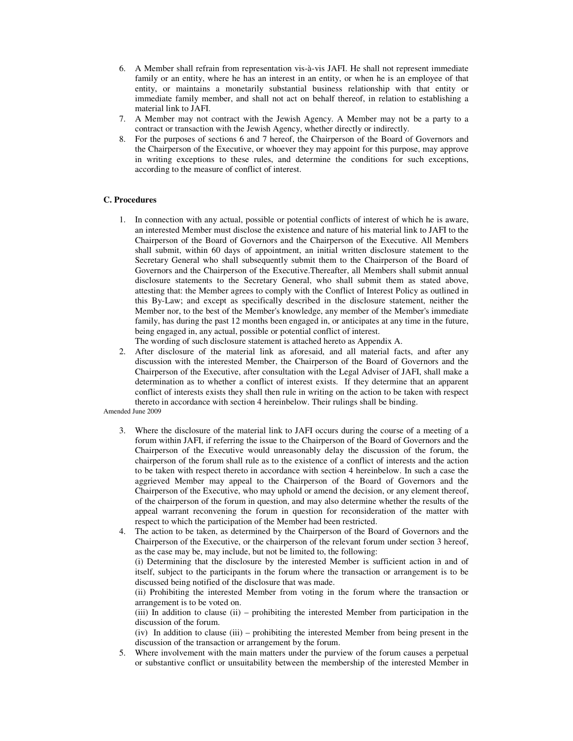- 6. A Member shall refrain from representation vis-à-vis JAFI. He shall not represent immediate family or an entity, where he has an interest in an entity, or when he is an employee of that entity, or maintains a monetarily substantial business relationship with that entity or immediate family member, and shall not act on behalf thereof, in relation to establishing a material link to JAFI.
- 7. A Member may not contract with the Jewish Agency. A Member may not be a party to a contract or transaction with the Jewish Agency, whether directly or indirectly.
- 8. For the purposes of sections 6 and 7 hereof, the Chairperson of the Board of Governors and the Chairperson of the Executive, or whoever they may appoint for this purpose, may approve in writing exceptions to these rules, and determine the conditions for such exceptions, according to the measure of conflict of interest.

## **C. Procedures**

- 1. In connection with any actual, possible or potential conflicts of interest of which he is aware, an interested Member must disclose the existence and nature of his material link to JAFI to the Chairperson of the Board of Governors and the Chairperson of the Executive. All Members shall submit, within 60 days of appointment, an initial written disclosure statement to the Secretary General who shall subsequently submit them to the Chairperson of the Board of Governors and the Chairperson of the Executive.Thereafter, all Members shall submit annual disclosure statements to the Secretary General, who shall submit them as stated above, attesting that: the Member agrees to comply with the Conflict of Interest Policy as outlined in this By-Law; and except as specifically described in the disclosure statement, neither the Member nor, to the best of the Member's knowledge, any member of the Member's immediate family, has during the past 12 months been engaged in, or anticipates at any time in the future, being engaged in, any actual, possible or potential conflict of interest. The wording of such disclosure statement is attached hereto as Appendix A.
- 2. After disclosure of the material link as aforesaid, and all material facts, and after any discussion with the interested Member, the Chairperson of the Board of Governors and the Chairperson of the Executive, after consultation with the Legal Adviser of JAFI, shall make a determination as to whether a conflict of interest exists. If they determine that an apparent conflict of interests exists they shall then rule in writing on the action to be taken with respect thereto in accordance with section 4 hereinbelow. Their rulings shall be binding.

Amended June 2009

- 3. Where the disclosure of the material link to JAFI occurs during the course of a meeting of a forum within JAFI, if referring the issue to the Chairperson of the Board of Governors and the Chairperson of the Executive would unreasonably delay the discussion of the forum, the chairperson of the forum shall rule as to the existence of a conflict of interests and the action to be taken with respect thereto in accordance with section 4 hereinbelow. In such a case the aggrieved Member may appeal to the Chairperson of the Board of Governors and the Chairperson of the Executive, who may uphold or amend the decision, or any element thereof, of the chairperson of the forum in question, and may also determine whether the results of the appeal warrant reconvening the forum in question for reconsideration of the matter with respect to which the participation of the Member had been restricted.
- 4. The action to be taken, as determined by the Chairperson of the Board of Governors and the Chairperson of the Executive, or the chairperson of the relevant forum under section 3 hereof, as the case may be, may include, but not be limited to, the following:

 (i) Determining that the disclosure by the interested Member is sufficient action in and of itself, subject to the participants in the forum where the transaction or arrangement is to be discussed being notified of the disclosure that was made.

 (ii) Prohibiting the interested Member from voting in the forum where the transaction or arrangement is to be voted on.

 (iii) In addition to clause (ii) – prohibiting the interested Member from participation in the discussion of the forum.

 (iv) In addition to clause (iii) – prohibiting the interested Member from being present in the discussion of the transaction or arrangement by the forum.

5. Where involvement with the main matters under the purview of the forum causes a perpetual or substantive conflict or unsuitability between the membership of the interested Member in